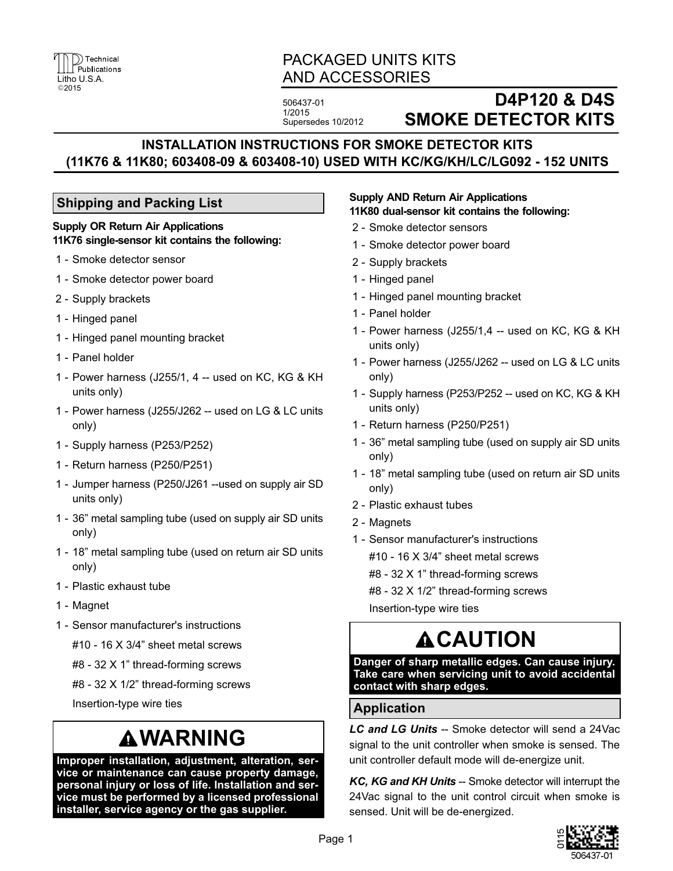

## PACKAGED UNITS KITS AND ACCESSORIES

506437-01 1/2015 Supersedes 10/2012

## **D4P120 & D4S SMOKE DETECTOR KITS**

## **INSTALLATION INSTRUCTIONS FOR SMOKE DETECTOR KITS (11K76 & 11K80; 603408-09 & 603408-10) USED WITH KC/KG/KH/LC/LG092 - 152 UNITS**

### **Shipping and Packing List**

#### **Supply OR Return Air Applications 11K76 single-sensor kit contains the following:**

- 1 Smoke detector sensor
- 1 Smoke detector power board
- 2 Supply brackets
- 1 Hinged panel
- 1 Hinged panel mounting bracket
- 1 Panel holder
- 1 Power harness (J255/1, 4 -- used on KC, KG & KH units only)
- 1 Power harness (J255/J262 -- used on LG & LC units only)
- 1 Supply harness (P253/P252)
- 1 Return harness (P250/P251)
- 1 Jumper harness (P250/J261 --used on supply air SD units only)
- 1 36" metal sampling tube (used on supply air SD units only)
- 1 18" metal sampling tube (used on return air SD units only)
- 1 Plastic exhaust tube
- 1 Magnet
- 1 Sensor manufacturer's instructions

#10 - 16 X 3/4" sheet metal screws

- #8 32 X 1" thread-forming screws
- #8 32 X 1/2" thread-forming screws

Insertion-type wire ties

## **WARNING**

**Improper installation, adjustment, alteration, service or maintenance can cause property damage, personal injury or loss of life. Installation and service must be performed by a licensed professional installer, service agency or the gas supplier.**

#### **Supply AND Return Air Applications 11K80 dual-sensor kit contains the following:**

- 2 Smoke detector sensors
- 1 Smoke detector power board
- 2 Supply brackets
- 1 Hinged panel
- 1 Hinged panel mounting bracket
- 1 Panel holder
- 1 Power harness (J255/1,4 -- used on KC, KG & KH units only)
- 1 Power harness (J255/J262 -- used on LG & LC units only)
- 1 Supply harness (P253/P252 -- used on KC, KG & KH units only)
- 1 Return harness (P250/P251)
- 1 36" metal sampling tube (used on supply air SD units only)
- 1 18" metal sampling tube (used on return air SD units only)
- 2 Plastic exhaust tubes
- 2 Magnets
- 1 Sensor manufacturer's instructions
	- #10 16 X 3/4" sheet metal screws
	- #8 32 X 1" thread-forming screws
	- #8 32 X 1/2" thread-forming screws

Insertion-type wire ties

## **ACAUTION**

**Danger of sharp metallic edges. Can cause injury. Take care when servicing unit to avoid accidental contact with sharp edges.**

### **Application**

*LC and LG Units* -- Smoke detector will send a 24Vac signal to the unit controller when smoke is sensed. The unit controller default mode will de-energize unit.

*KC, KG and KH Units* -- Smoke detector will interrupt the 24Vac signal to the unit control circuit when smoke is sensed. Unit will be de-energized.

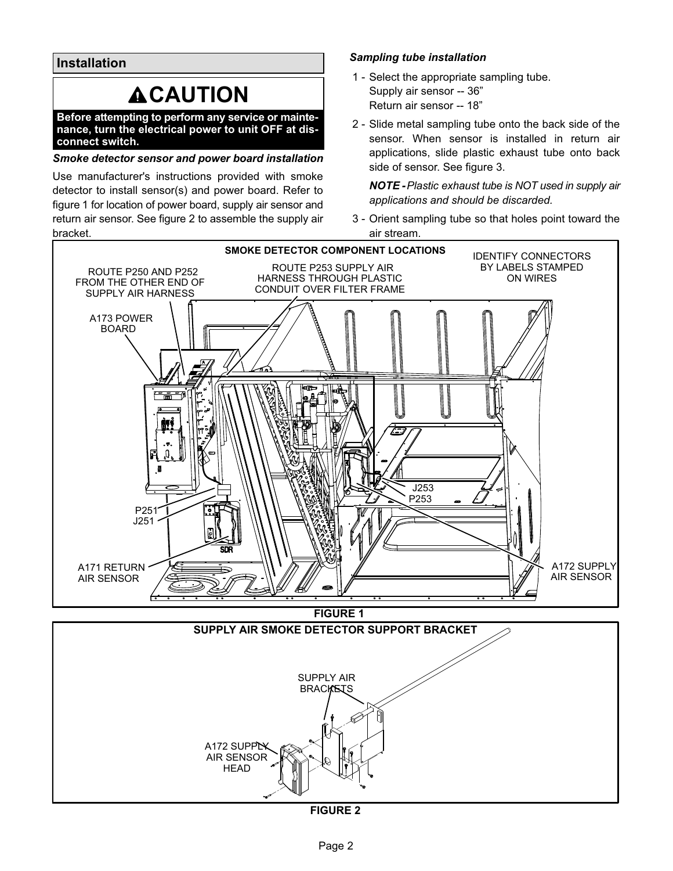**Installation**

# **ACAUTION**

**Before attempting to perform any service or maintenance, turn the electrical power to unit OFF at disconnect switch.**

### *Smoke detector sensor and power board installation*

Use manufacturer's instructions provided with smoke detector to install sensor(s) and power board. Refer to figure 1 for location of power board, supply air sensor and return air sensor. See figure 2 to assemble the supply air bracket.

### *Sampling tube installation*

- 1 Select the appropriate sampling tube. Supply air sensor -- 36" Return air sensor -- 18"
- 2 Slide metal sampling tube onto the back side of the sensor. When sensor is installed in return air applications, slide plastic exhaust tube onto back side of sensor. See figure [3](#page-2-0).

*NOTE - Plastic exhaust tube is NOT used in supply air applications and should be discarded.*

 3 - Orient sampling tube so that holes point toward the air stream.

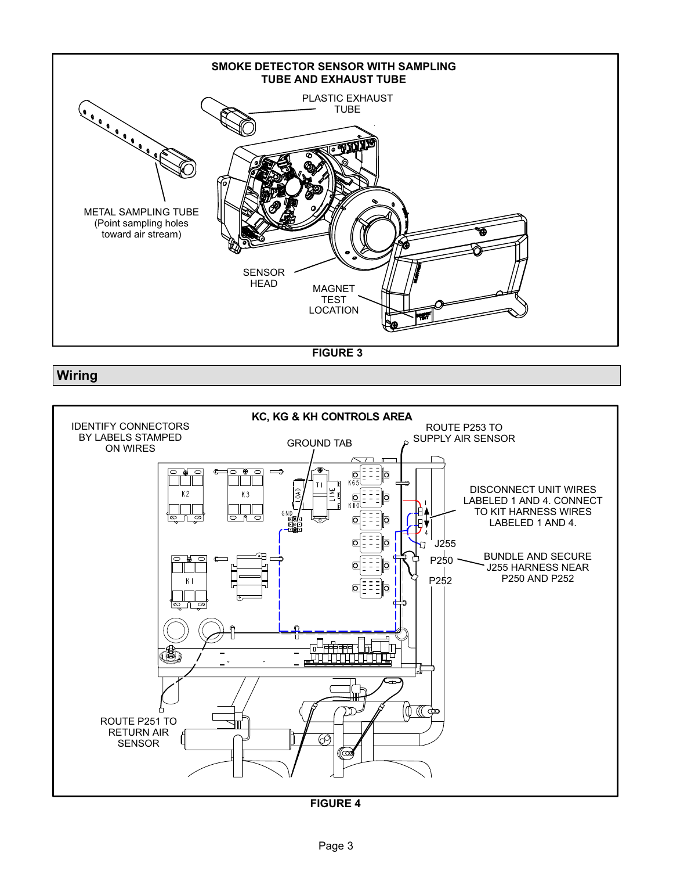<span id="page-2-0"></span>

**FIGURE 3**

### **Wiring**



**FIGURE 4**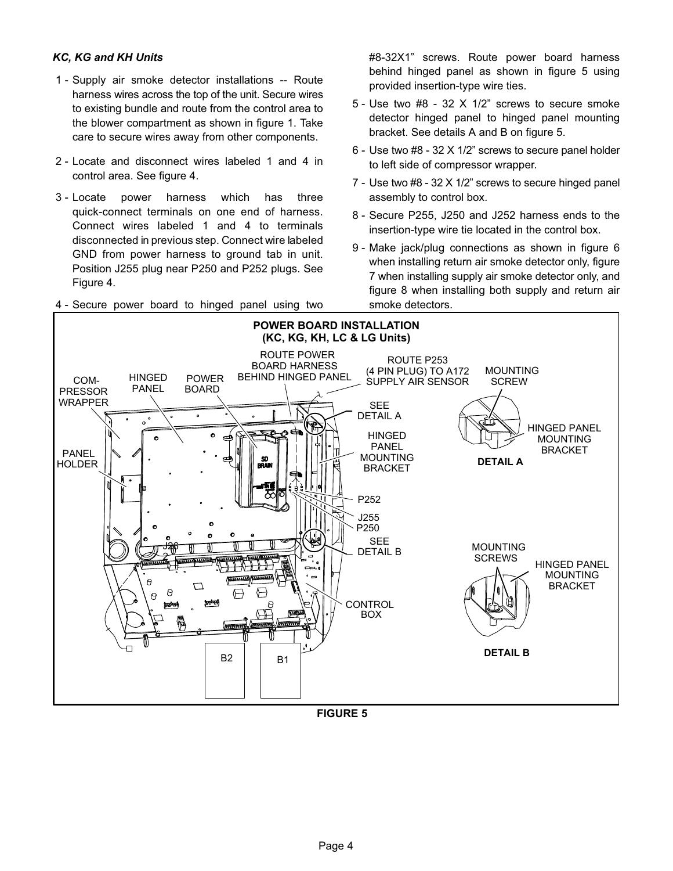### <span id="page-3-0"></span>*KC, KG and KH Units*

- 1 Supply air smoke detector installations -- Route harness wires across the top of the unit. Secure wires to existing bundle and route from the control area to the blower compartment as shown in figure 1. Take care to secure wires away from other components.
- 2 Locate and disconnect wires labeled 1 and 4 in control area. See figure [4](#page-2-0).
- 3 Locate power harness which has three quick-connect terminals on one end of harness. Connect wires labeled 1 and 4 to terminals disconnected in previous step. Connect wire labeled GND from power harness to ground tab in unit. Position J255 plug near P250 and P252 plugs. See Figure [4.](#page-2-0)
- 4 Secure power board to hinged panel using two

#8-32X1" screws. Route power board harness behind hinged panel as shown in figure 5 using provided insertion-type wire ties.

- 5 Use two #8 32 X 1/2" screws to secure smoke detector hinged panel to hinged panel mounting bracket. See details A and B on figure 5.
- 6 Use two #8 32 X 1/2" screws to secure panel holder to left side of compressor wrapper.
- 7 Use two #8 32 X 1/2" screws to secure hinged panel assembly to control box.
- 8 Secure P255, J250 and J252 harness ends to the insertion-type wire tie located in the control box.
- 9 Make jack/plug connections as shown in figure [6](#page-4-0) when installing return air smoke detector only, figure [7](#page-4-0) when installing supply air smoke detector only, and figure [8](#page-5-0) when installing both supply and return air smoke detectors.



**FIGURE 5**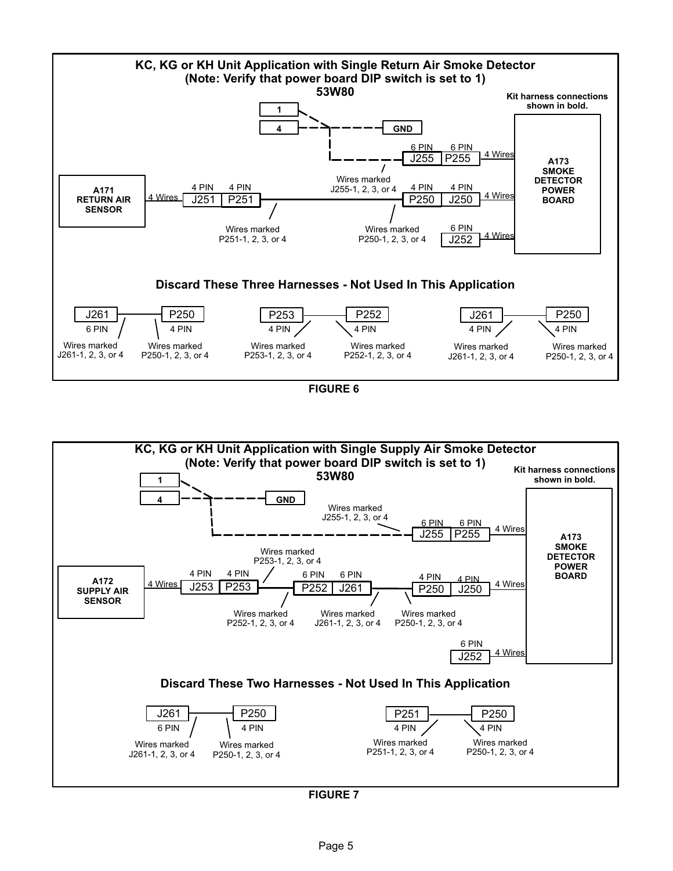<span id="page-4-0"></span>

**FIGURE 6**



**FIGURE 7**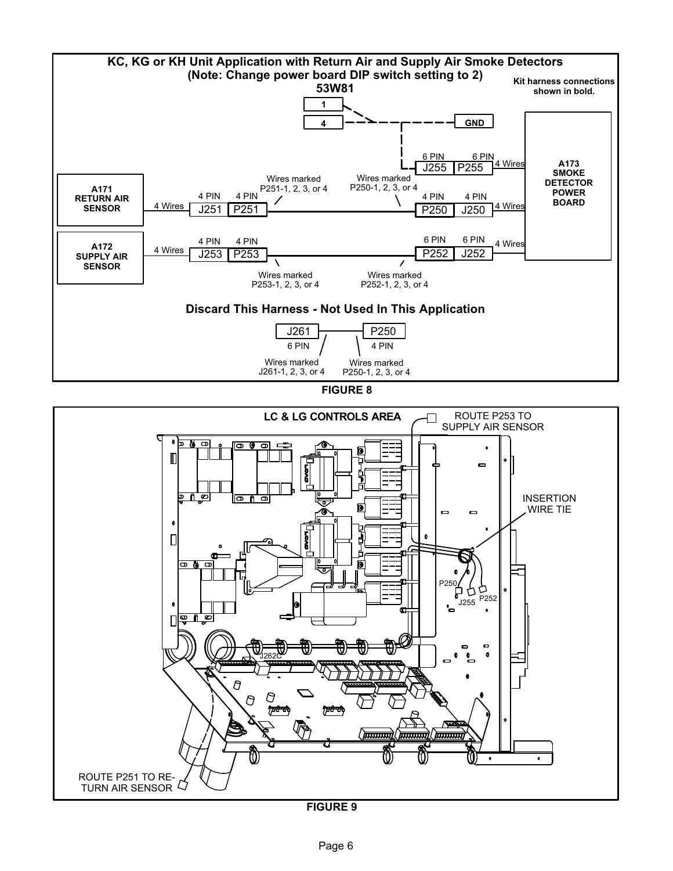<span id="page-5-0"></span>

**FIGURE 8**



**FIGURE 9**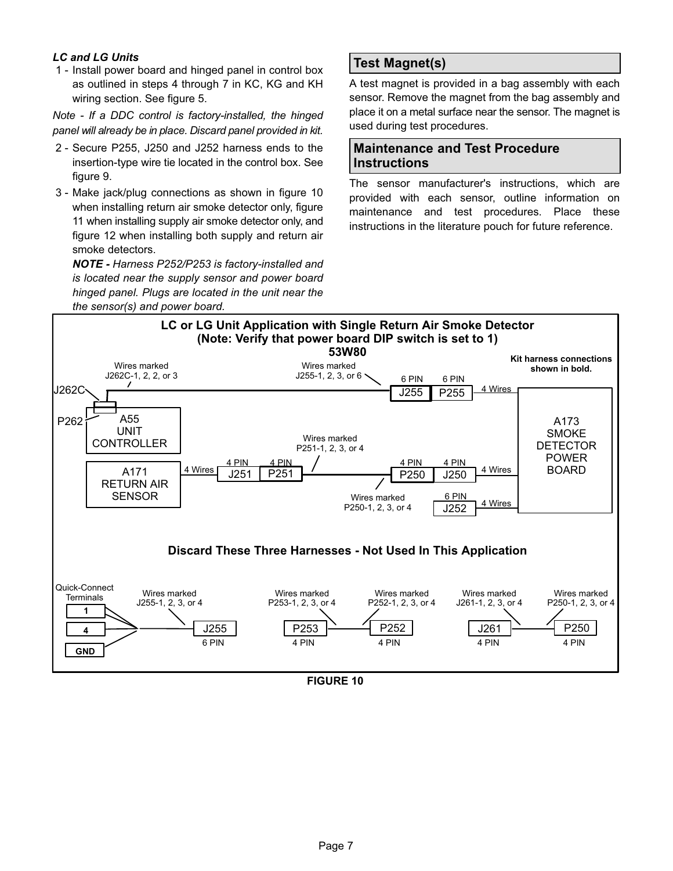### *LC and LG Units*

 1 - Install power board and hinged panel in control box as outlined in steps 4 through 7 in KC, KG and KH wiring section. See figure [5.](#page-3-0)

*Note - If a DDC control is factory-installed, the hinged panel will already be in place. Discard panel provided in kit.*

- 2 Secure P255, J250 and J252 harness ends to the insertion-type wire tie located in the control box. See figure [9](#page-5-0).
- 3 Make jack/plug connections as shown in figure 10 when installing return air smoke detector only, figure [11](#page-7-0) when installing supply air smoke detector only, and figure [12](#page-7-0) when installing both supply and return air smoke detectors.

*NOTE - Harness P252/P253 is factory-installed and is located near the supply sensor and power board hinged panel. Plugs are located in the unit near the*

### **Test Magnet(s)**

A test magnet is provided in a bag assembly with each sensor. Remove the magnet from the bag assembly and place it on a metal surface near the sensor. The magnet is used during test procedures.

### **Maintenance and Test Procedure Instructions**

The sensor manufacturer's instructions, which are provided with each sensor, outline information on maintenance and test procedures. Place these instructions in the literature pouch for future reference.